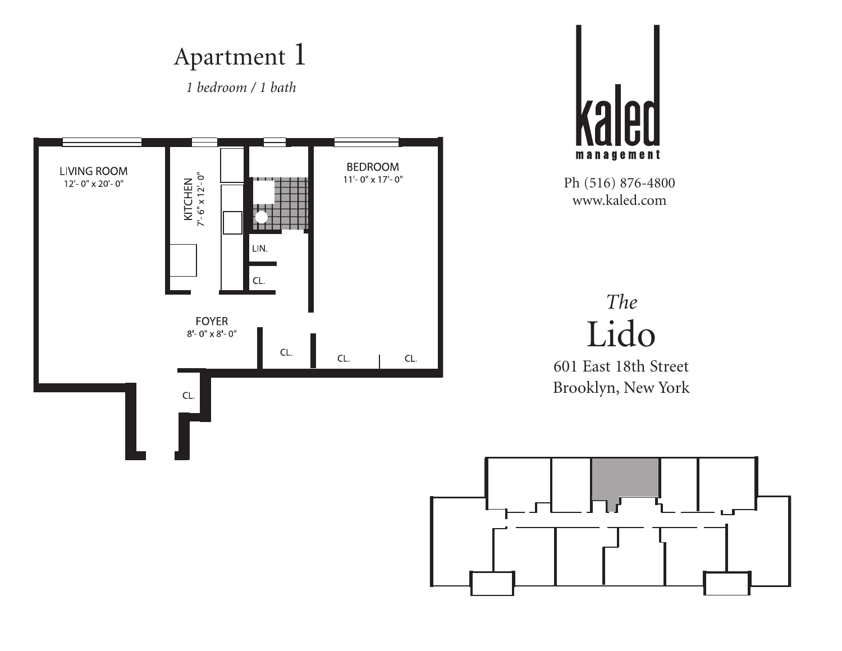*1 bedroom / 1 bath*





Ph (516) 876-4800 www.kaled.com

#### *The* Lido

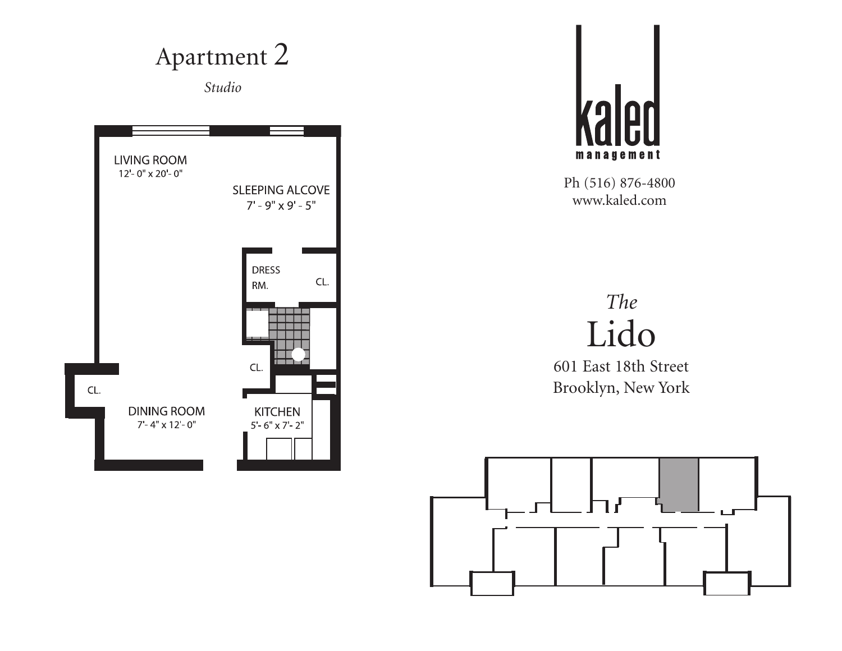



Ph (516) 876-4800 www.kaled.com

#### *The* Lido

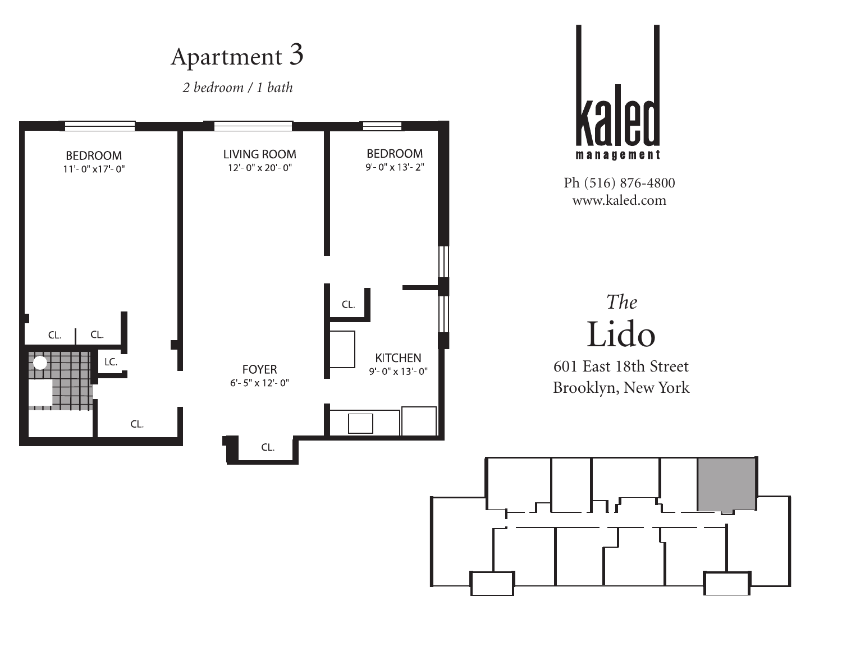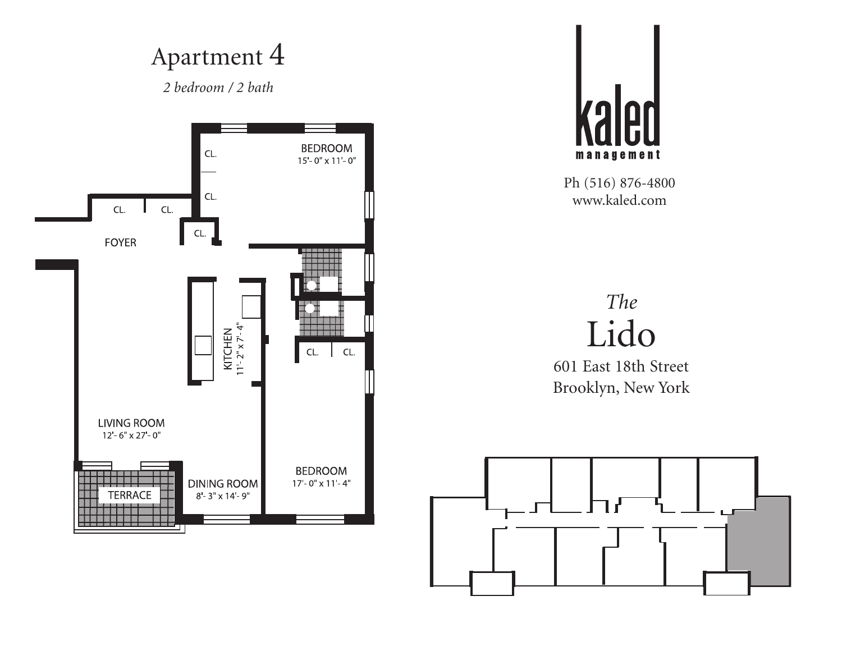*2 bedroom / 2 bath*





Ph (516) 876-4800 www.kaled.com

#### *The* Lido

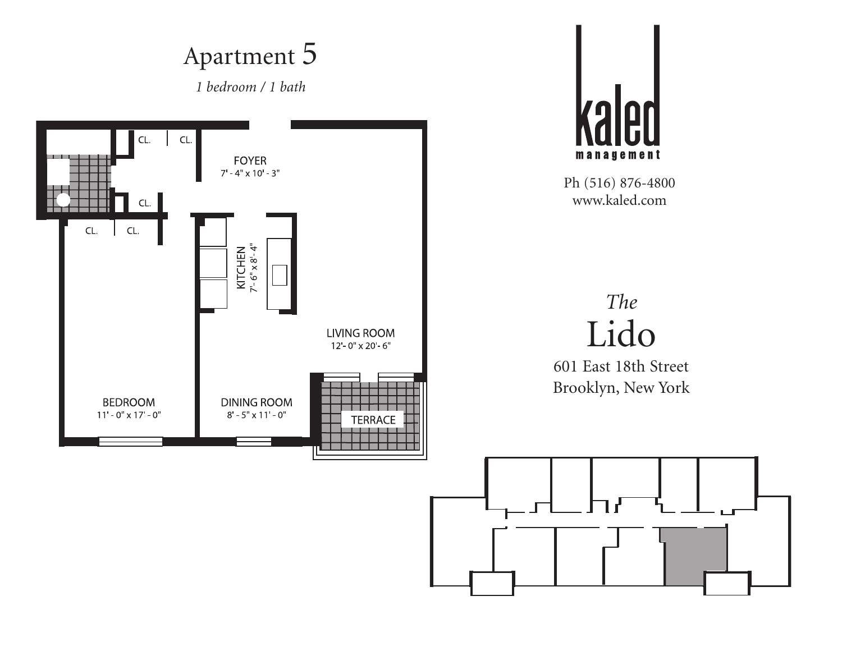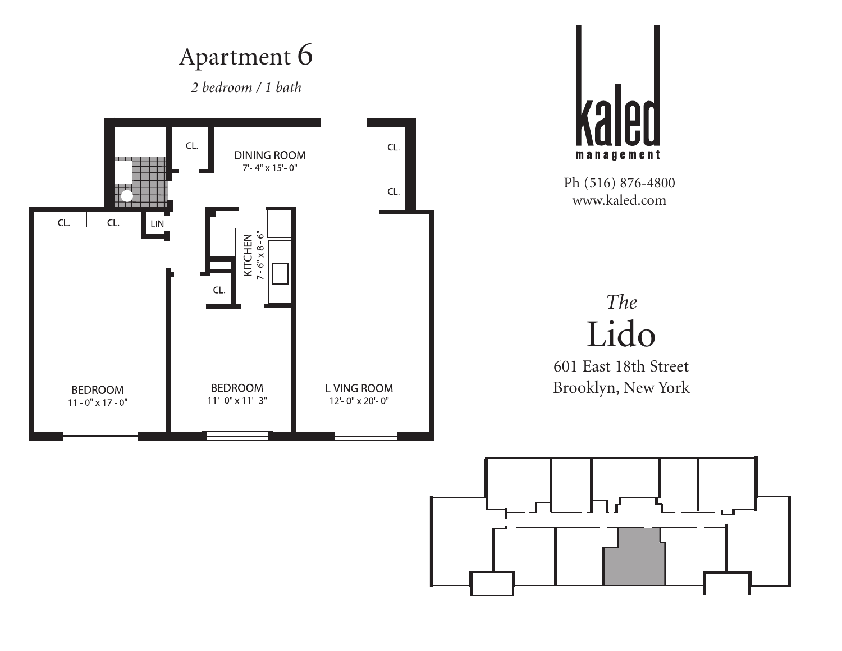

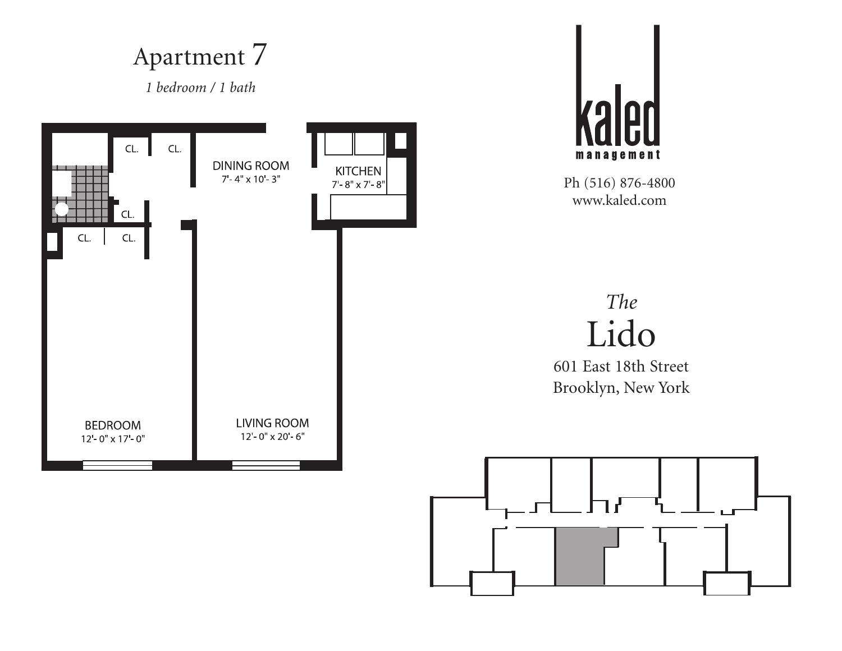*1 bedroom / 1 bath*





Ph (516) 876-4800 www.kaled.com

#### *The* Lido

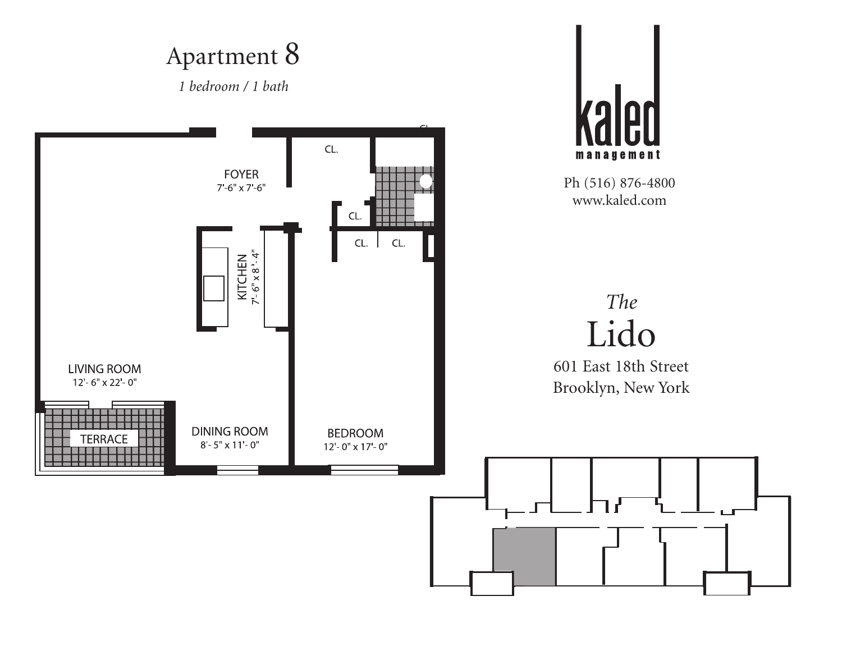*1 bedroom / 1 bath*

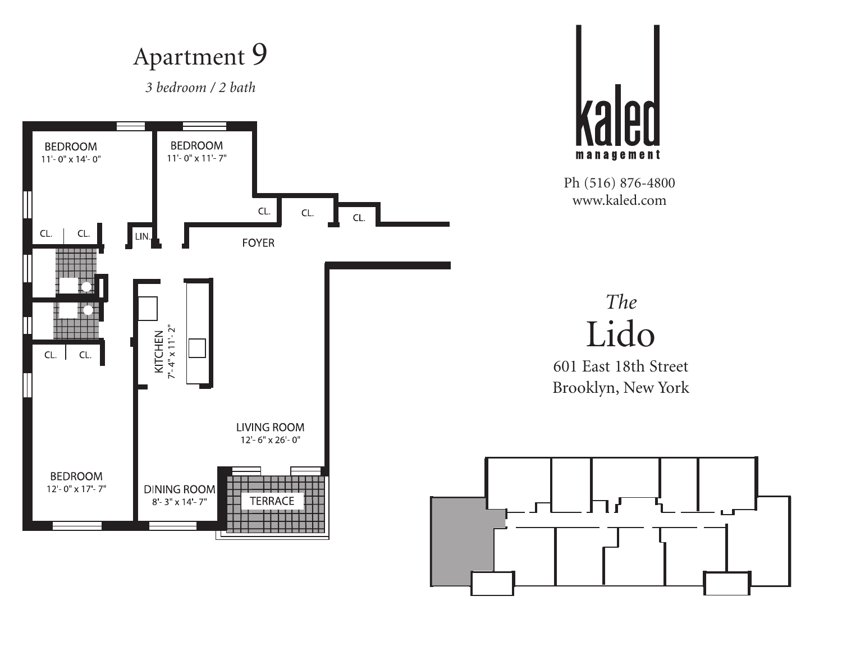*3 bedroom / 2 bath*





Ph (516) 876-4800 www.kaled.com



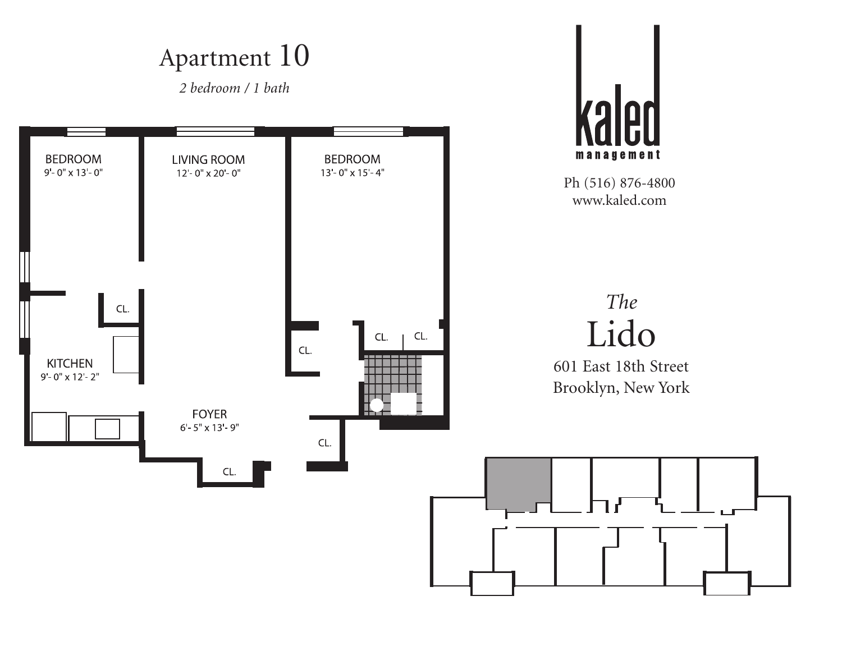